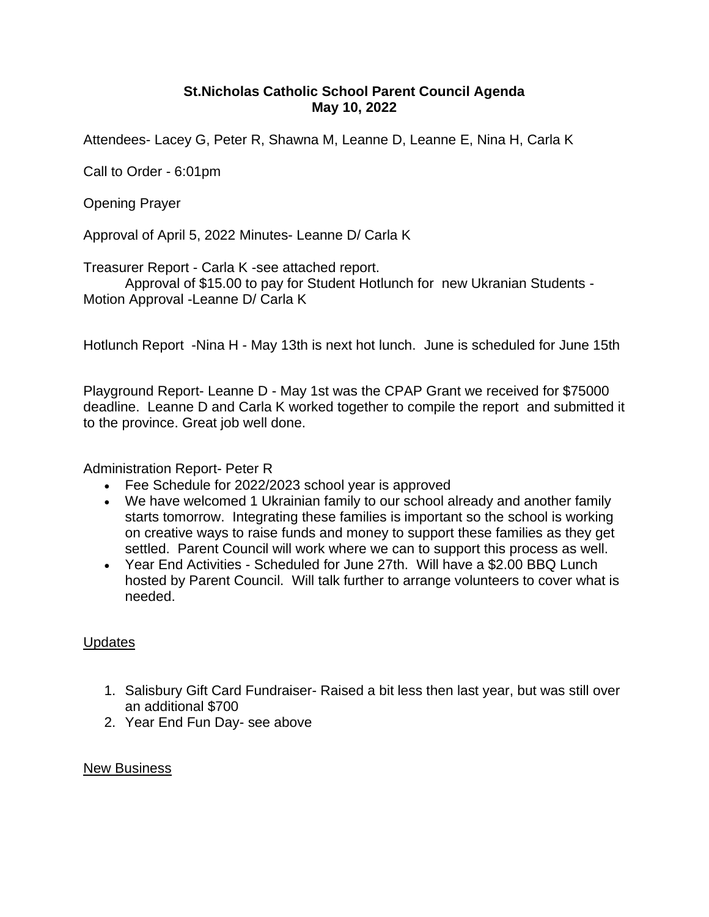## **St.Nicholas Catholic School Parent Council Agenda May 10, 2022**

Attendees- Lacey G, Peter R, Shawna M, Leanne D, Leanne E, Nina H, Carla K

Call to Order - 6:01pm

Opening Prayer

Approval of April 5, 2022 Minutes- Leanne D/ Carla K

Treasurer Report - Carla K -see attached report.

Approval of \$15.00 to pay for Student Hotlunch for new Ukranian Students - Motion Approval -Leanne D/ Carla K

Hotlunch Report -Nina H - May 13th is next hot lunch. June is scheduled for June 15th

Playground Report- Leanne D - May 1st was the CPAP Grant we received for \$75000 deadline. Leanne D and Carla K worked together to compile the report and submitted it to the province. Great job well done.

Administration Report- Peter R

- Fee Schedule for 2022/2023 school year is approved
- We have welcomed 1 Ukrainian family to our school already and another family starts tomorrow. Integrating these families is important so the school is working on creative ways to raise funds and money to support these families as they get settled. Parent Council will work where we can to support this process as well.
- Year End Activities Scheduled for June 27th. Will have a \$2.00 BBQ Lunch hosted by Parent Council. Will talk further to arrange volunteers to cover what is needed.

## **Updates**

- 1. Salisbury Gift Card Fundraiser- Raised a bit less then last year, but was still over an additional \$700
- 2. Year End Fun Day- see above

## New Business